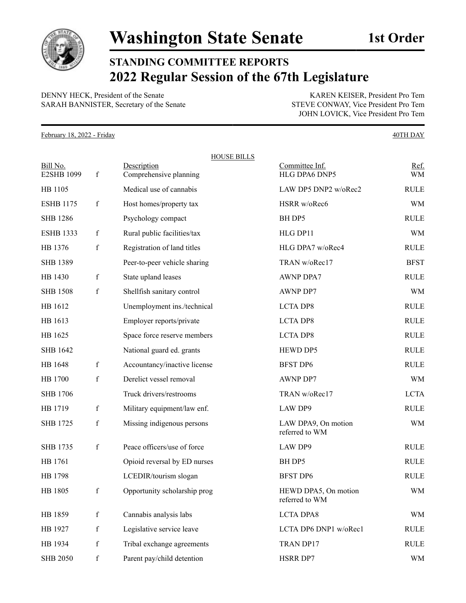

## **STANDING COMMITTEE REPORTS 2022 Regular Session of the 67th Legislature**

DENNY HECK, President of the Senate KAREN KEISER, President Pro Tem SARAH BANNISTER, Secretary of the Senate STEVE CONWAY, Vice President Pro Tem

JOHN LOVICK, Vice President Pro Tem

February 18, 2022 - Friday 40TH DAY

|                               |             | <b>HOUSE BILLS</b>                    |                                        |             |
|-------------------------------|-------------|---------------------------------------|----------------------------------------|-------------|
| Bill No.<br><b>E2SHB 1099</b> | $\mathbf f$ | Description<br>Comprehensive planning | Committee Inf.<br>HLG DPA6 DNP5        | Ref.<br>WM  |
| HB 1105                       |             | Medical use of cannabis               | LAW DP5 DNP2 w/oRec2                   | <b>RULE</b> |
| <b>ESHB 1175</b>              | $\mathbf f$ | Host homes/property tax               | HSRR w/oRec6                           | WM          |
| <b>SHB</b> 1286               |             | Psychology compact                    | BH DP5                                 | <b>RULE</b> |
| <b>ESHB 1333</b>              | $\mathbf f$ | Rural public facilities/tax           | HLG DP11                               | <b>WM</b>   |
| HB 1376                       | $\mathbf f$ | Registration of land titles           | HLG DPA7 w/oRec4                       | <b>RULE</b> |
| <b>SHB 1389</b>               |             | Peer-to-peer vehicle sharing          | TRAN w/oRec17                          | <b>BFST</b> |
| HB 1430                       | $\mathbf f$ | State upland leases                   | <b>AWNP DPA7</b>                       | <b>RULE</b> |
| <b>SHB 1508</b>               | $\mathbf f$ | Shellfish sanitary control            | <b>AWNP DP7</b>                        | WM          |
| HB 1612                       |             | Unemployment ins./technical           | <b>LCTA DP8</b>                        | <b>RULE</b> |
| HB 1613                       |             | Employer reports/private              | <b>LCTA DP8</b>                        | <b>RULE</b> |
| HB 1625                       |             | Space force reserve members           | <b>LCTA DP8</b>                        | <b>RULE</b> |
| <b>SHB 1642</b>               |             | National guard ed. grants             | HEWD DP5                               | <b>RULE</b> |
| HB 1648                       | $\mathbf f$ | Accountancy/inactive license          | <b>BFST DP6</b>                        | <b>RULE</b> |
| HB 1700                       | $\mathbf f$ | Derelict vessel removal               | AWNP DP7                               | <b>WM</b>   |
| <b>SHB 1706</b>               |             | Truck drivers/restrooms               | TRAN w/oRec17                          | <b>LCTA</b> |
| HB 1719                       | $\mathbf f$ | Military equipment/law enf.           | LAW DP9                                | <b>RULE</b> |
| <b>SHB 1725</b>               | $\mathbf f$ | Missing indigenous persons            | LAW DPA9, On motion<br>referred to WM  | <b>WM</b>   |
| <b>SHB 1735</b>               | f           | Peace officers/use of force           | LAW DP9                                | <b>RULE</b> |
| HB 1761                       |             | Opioid reversal by ED nurses          | BH DP5                                 | <b>RULE</b> |
| HB 1798                       |             | LCEDIR/tourism slogan                 | <b>BFST DP6</b>                        | <b>RULE</b> |
| HB 1805                       | $\mathbf f$ | Opportunity scholarship prog          | HEWD DPA5, On motion<br>referred to WM | <b>WM</b>   |
| HB 1859                       | $\mathbf f$ | Cannabis analysis labs                | <b>LCTA DPA8</b>                       | WM          |
| HB 1927                       | $\mathbf f$ | Legislative service leave             | LCTA DP6 DNP1 w/oRec1                  | <b>RULE</b> |
| HB 1934                       | $\mathbf f$ | Tribal exchange agreements            | TRAN DP17                              | RULE        |
| <b>SHB 2050</b>               | $\mathbf f$ | Parent pay/child detention            | HSRR DP7                               | WM          |